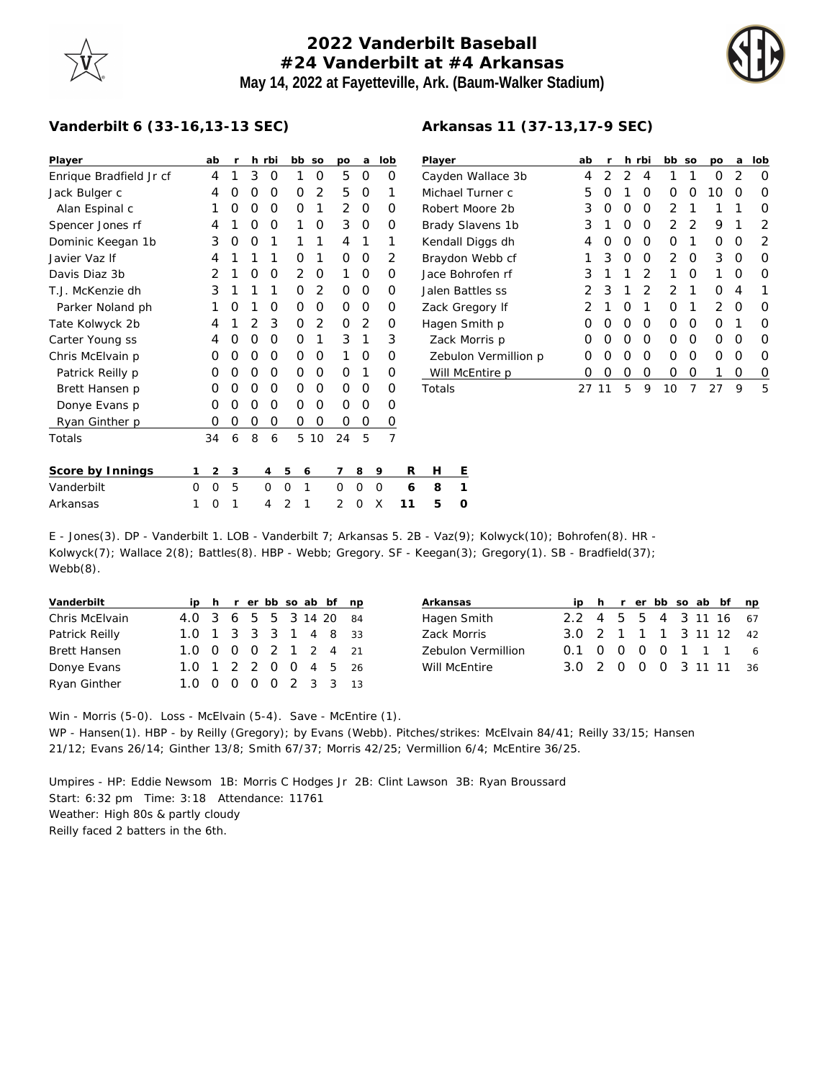## **2022 Vanderbilt Baseball #24 Vanderbilt at #4 Arkansas May 14, 2022 at Fayetteville, Ark. (Baum-Walker Stadium)**



## **Vanderbilt 6 (33-16,13-13 SEC)**

| Player                  |   | ab             | r |   | h rbi     |   | bb | SO             | po | a            | lob          |                | Player   |         |  |
|-------------------------|---|----------------|---|---|-----------|---|----|----------------|----|--------------|--------------|----------------|----------|---------|--|
| Enrique Bradfield Jr cf |   | 4              | 1 | 3 | O         |   | 1  | O              | 5  | O            |              | O              | Cayden   |         |  |
| Jack Bulger c           |   | 4              | Ο | O | 0         |   | O  | $\overline{2}$ | 5  | 0            |              | 1              | Michael  |         |  |
| Alan Espinal c          |   | 1              | Ο | O | O         |   | O  | 1              | 2  | O            |              | Ο              | Robert N |         |  |
| Spencer Jones rf        |   | 4              | 1 | O | O         |   | 1  | O              | 3  | O            |              | Ο              | Brady SI |         |  |
| Dominic Keegan 1b       |   | 3              | O | O | 1         |   | 1  | 1              | 4  | 1            | 1            |                | Kendall  |         |  |
| Javier Vaz If           |   | 4              | 1 | 1 | 1         |   | O  | 1              | Ο  | 0            |              | 2              | Braydon  |         |  |
| Davis Diaz 3b           |   | $\overline{2}$ | 1 | O | 0         |   | 2  | O              | 1  | 0            |              | O              | Jace Bor |         |  |
| T.J. McKenzie dh        |   | 3              | 1 | 1 | 1         |   | O  | 2              | Ο  | Ο            |              | Ο              | Jalen Ba |         |  |
| Parker Noland ph        |   | 1              | Ω | 1 | O         |   | O  | O              | Ο  | O            |              | Ο              | Zack Gre |         |  |
| Tate Kolwyck 2b         |   | 4              | 1 | 2 | 3         |   | O  | 2              | Ο  | 2            |              | Ο              | Hagen S  |         |  |
| Carter Young ss         |   | 4              | Ω | O | O         |   | O  | 1              | 3  | 1            |              | 3              |          | Zack M  |  |
| Chris McElvain p        |   | O              | Ω | O | O         |   | O  | O              | 1  | Ο            |              | Ω              |          | Zebulo  |  |
| Patrick Reilly p        |   | O              | Ο | O | O         |   | O  | O              | O  | 1            |              | Ο              |          | Will Mc |  |
| Brett Hansen p          |   | O              | Ο | O | O         |   | O  | O              | O  | Ο            |              | Ο              | Totals   |         |  |
| Donye Evans p           |   | O              | Ο | O | O         |   | O  | O              | Ο  | Ο            |              | Ο              |          |         |  |
| Ryan Ginther p          |   | O              | Ο | Ο | O         |   | Ο  | O              | Ο  | Ο            |              | O              |          |         |  |
| Totals                  |   | 34             | 6 | 8 | 6         |   | 5  | 10             | 24 | 5            |              | $\overline{7}$ |          |         |  |
| Score by Innings        | 1 | 2              | 3 |   | 4         | 5 | 6  |                | 7  | 8            | 9            | R              | н        | Ε       |  |
| Vanderbilt              | O | O              | 5 |   | O         | O | 1  |                | Ω  | Ω            | Ω            | 6              | 8        | 1       |  |
| Arkopese                | 1 | <sup>n</sup>   | 1 |   | $\Lambda$ | ⌒ | 1  |                | ◠  | <sup>n</sup> | $\checkmark$ | 11             | с        | ⌒       |  |

| Player               | ab | r | h.       | rbi            | bb            | SO | po             | a | lob |
|----------------------|----|---|----------|----------------|---------------|----|----------------|---|-----|
| Cayden Wallace 3b    | 4  | 2 | 2        | 4              | 1             | 1  | Ω              | 2 | Ω   |
| Michael Turner c     | 5  | O | 1        | O              | O             | Ω  | 10             | O | O   |
| Robert Moore 2b      | 3  | Ο | O        | O              | $\mathcal{D}$ | 1  | 1              | 1 | Ω   |
| Brady Slavens 1b     | 3  | 1 | O        | O              | 2             | 2  | 9              | 1 | 2   |
| Kendall Diggs dh     | 4  | Ο | O        | O              | O             | 1  | ი              | O | 2   |
| Braydon Webb cf      | 1  | 3 | O        | O              | 2             | O  | 3              | O | Ω   |
| Jace Bohrofen rf     | 3  | 1 | 1        | $\overline{2}$ | 1             | Ω  | 1              | O | Ω   |
| Jalen Battles ss     | 2  | 3 | 1        | 2              | 2             | 1  | Ω              | 4 | 1   |
| Zack Gregory If      | 2  | 1 | $\Omega$ | 1              | 0             | 1  | $\mathfrak{D}$ | O | Ω   |
| Hagen Smith p        | 0  | O | O        | O              | O             | O  | Ω              | 1 | ∩   |
| Zack Morris p        | 0  | Ο | O        | O              | O             | Ω  | Ω              | O | O   |
| Zebulon Vermillion p | 0  | Ω | O        | O              | 0             | O  | Ω              | O | O   |
| Will McEntire p      | Ω  | Ο | Ο        | O              | O             | 0  | 1              | Ο | O   |
| Totals               |    | 1 | 5        | 9              | 10            | 7  | 27             | 9 | 5   |

| SCOTEDVINNINGS IZS456 /89 R FI E |  |  |                          |  |  |  |  |
|----------------------------------|--|--|--------------------------|--|--|--|--|
| Vanderbilt                       |  |  | 0 0 5 0 0 1 0 0 0 6 8 1  |  |  |  |  |
| Arkansas                         |  |  | 1 0 1 4 2 1 2 0 X 11 5 0 |  |  |  |  |
|                                  |  |  |                          |  |  |  |  |

E - Jones(3). DP - Vanderbilt 1. LOB - Vanderbilt 7; Arkansas 5. 2B - Vaz(9); Kolwyck(10); Bohrofen(8). HR - Kolwyck(7); Wallace 2(8); Battles(8). HBP - Webb; Gregory. SF - Keegan(3); Gregory(1). SB - Bradfield(37); Webb(8).

| Vanderbilt          |                        |  |  |  | ip h r er bb so ab bf np |  |
|---------------------|------------------------|--|--|--|--------------------------|--|
| Chris McElvain      | 4.0 3 6 5 5 3 14 20 84 |  |  |  |                          |  |
| Patrick Reilly      | 1.0 1 3 3 3 1 4 8 33   |  |  |  |                          |  |
| <b>Brett Hansen</b> | 1.0 0 0 0 2 1 2 4 21   |  |  |  |                          |  |
| Donye Evans         | 1.0 1 2 2 0 0 4 5 26   |  |  |  |                          |  |
| Ryan Ginther        | 1.0 0 0 0 0 2 3 3 13   |  |  |  |                          |  |

| Arkansas           |                        |  |  |  | ip h r er bb so ab bf np |
|--------------------|------------------------|--|--|--|--------------------------|
| Hagen Smith        | 2.2 4 5 5 4 3 11 16 67 |  |  |  |                          |
| Zack Morris        | 3.0 2 1 1 1 3 11 12 42 |  |  |  |                          |
| Zebulon Vermillion | 0.1 0 0 0 0 1 1 1 6    |  |  |  |                          |
| Will McEntire      | 3.0 2 0 0 0 3 11 11 36 |  |  |  |                          |

Win - Morris (5-0). Loss - McElvain (5-4). Save - McEntire (1). WP - Hansen(1). HBP - by Reilly (Gregory); by Evans (Webb). Pitches/strikes: McElvain 84/41; Reilly 33/15; Hansen 21/12; Evans 26/14; Ginther 13/8; Smith 67/37; Morris 42/25; Vermillion 6/4; McEntire 36/25.

Umpires - HP: Eddie Newsom 1B: Morris C Hodges Jr 2B: Clint Lawson 3B: Ryan Broussard Start: 6:32 pm Time: 3:18 Attendance: 11761 Weather: High 80s & partly cloudy Reilly faced 2 batters in the 6th.

## **Arkansas 11 (37-13,17-9 SEC)**